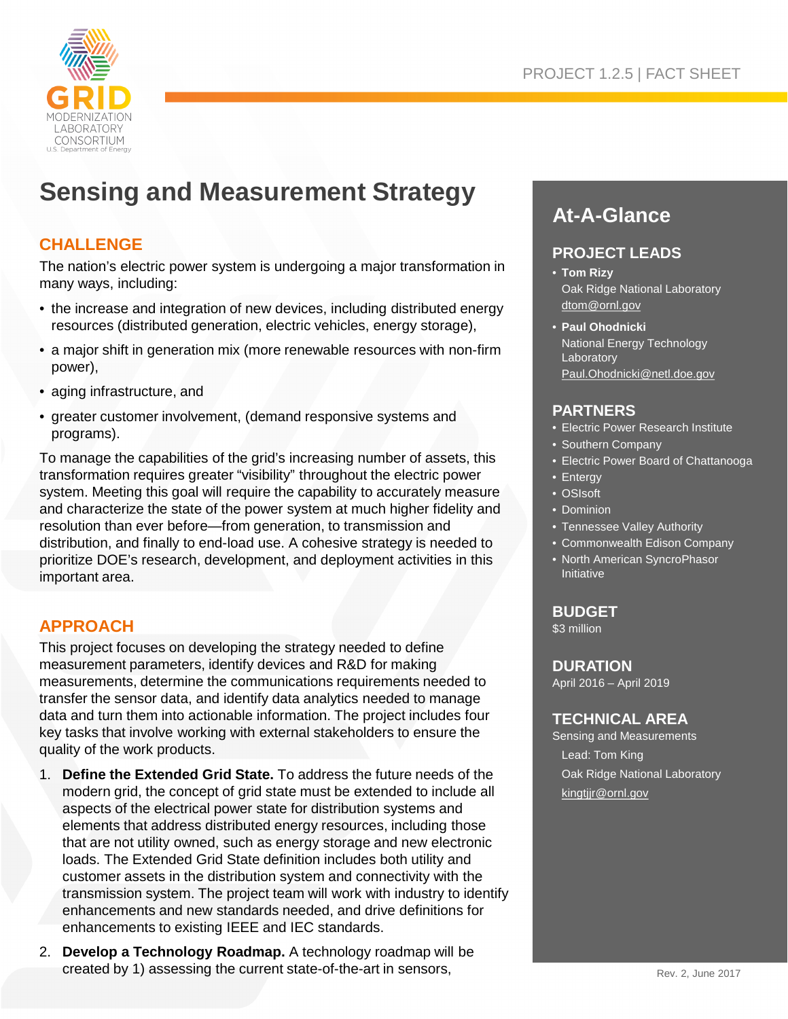

# **Sensing and Measurement Strategy**

## **CHALLENGE**

The nation's electric power system is undergoing a major transformation in many ways, including:

- the increase and integration of new devices, including distributed energy resources (distributed generation, electric vehicles, energy storage),
- a major shift in generation mix (more renewable resources with non-firm power),
- aging infrastructure, and
- greater customer involvement, (demand responsive systems and programs).

To manage the capabilities of the grid's increasing number of assets, this transformation requires greater "visibility" throughout the electric power system. Meeting this goal will require the capability to accurately measure and characterize the state of the power system at much higher fidelity and resolution than ever before—from generation, to transmission and distribution, and finally to end-load use. A cohesive strategy is needed to prioritize DOE's research, development, and deployment activities in this important area.

# **APPROACH**

This project focuses on developing the strategy needed to define measurement parameters, identify devices and R&D for making measurements, determine the communications requirements needed to transfer the sensor data, and identify data analytics needed to manage data and turn them into actionable information. The project includes four key tasks that involve working with external stakeholders to ensure the quality of the work products.

- 1. **Define the Extended Grid State.** To address the future needs of the modern grid, the concept of grid state must be extended to include all aspects of the electrical power state for distribution systems and elements that address distributed energy resources, including those that are not utility owned, such as energy storage and new electronic loads. The Extended Grid State definition includes both utility and customer assets in the distribution system and connectivity with the transmission system. The project team will work with industry to identify enhancements and new standards needed, and drive definitions for enhancements to existing IEEE and IEC standards.
- 2. **Develop a Technology Roadmap.** A technology roadmap will be created by 1) assessing the current state-of-the-art in sensors,

# **At-A-Glance**

#### **PROJECT LEADS**

- **Tom Rizy** Oak Ridge National Laboratory dtom@ornl.gov
- **Paul Ohodnicki** National Energy Technology Laboratory Paul.Ohodnicki@netl.doe.gov

#### **PARTNERS**

- Electric Power Research Institute
- Southern Company
- Electric Power Board of Chattanooga
- Entergy
- OSIsoft
- Dominion
- Tennessee Valley Authority
- Commonwealth Edison Company
- North American SyncroPhasor Initiative

#### **BUDGET**

\$3 million

#### **DURATION**

April 2016 – April 2019

#### **TECHNICAL AREA**

Sensing and Measurements Lead: Tom King Oak Ridge National Laboratory kingtjjr@ornl.gov